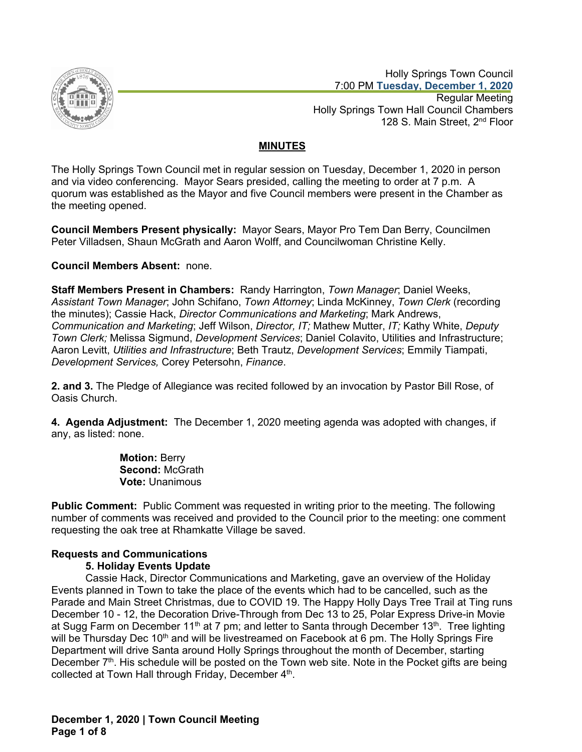

 Holly Springs Town Council 7:00 PM **Tuesday, December 1, 2020** Regular Meeting Holly Springs Town Hall Council Chambers 128 S. Main Street, 2<sup>nd</sup> Floor

# **MINUTES**

The Holly Springs Town Council met in regular session on Tuesday, December 1, 2020 in person and via video conferencing. Mayor Sears presided, calling the meeting to order at 7 p.m. A quorum was established as the Mayor and five Council members were present in the Chamber as the meeting opened.

**Council Members Present physically:** Mayor Sears, Mayor Pro Tem Dan Berry, Councilmen Peter Villadsen, Shaun McGrath and Aaron Wolff, and Councilwoman Christine Kelly.

## **Council Members Absent:** none.

**Staff Members Present in Chambers:** Randy Harrington, *Town Manager*; Daniel Weeks, *Assistant Town Manager*; John Schifano, *Town Attorney*; Linda McKinney, *Town Clerk* (recording the minutes); Cassie Hack, *Director Communications and Marketing*; Mark Andrews, *Communication and Marketing*; Jeff Wilson, *Director, IT;* Mathew Mutter, *IT;* Kathy White, *Deputy Town Clerk;* Melissa Sigmund, *Development Services*; Daniel Colavito, Utilities and Infrastructure; Aaron Levitt, *Utilities and Infrastructure*; Beth Trautz, *Development Services*; Emmily Tiampati, *Development Services,* Corey Petersohn, *Finance*.

**2. and 3.** The Pledge of Allegiance was recited followed by an invocation by Pastor Bill Rose, of Oasis Church.

**4. Agenda Adjustment:** The December 1, 2020 meeting agenda was adopted with changes, if any, as listed: none.

> **Motion:** Berry **Second:** McGrath **Vote:** Unanimous

**Public Comment:** Public Comment was requested in writing prior to the meeting. The following number of comments was received and provided to the Council prior to the meeting: one comment requesting the oak tree at Rhamkatte Village be saved.

# **Requests and Communications**

## **5. Holiday Events Update**

Cassie Hack, Director Communications and Marketing, gave an overview of the Holiday Events planned in Town to take the place of the events which had to be cancelled, such as the Parade and Main Street Christmas, due to COVID 19. The Happy Holly Days Tree Trail at Ting runs December 10 - 12, the Decoration Drive-Through from Dec 13 to 25, Polar Express Drive-in Movie at Sugg Farm on December 11<sup>th</sup> at 7 pm; and letter to Santa through December 13<sup>th</sup>. Tree lighting will be Thursday Dec 10<sup>th</sup> and will be livestreamed on Facebook at 6 pm. The Holly Springs Fire Department will drive Santa around Holly Springs throughout the month of December, starting December 7<sup>th</sup>. His schedule will be posted on the Town web site. Note in the Pocket gifts are being collected at Town Hall through Friday, December 4<sup>th</sup>.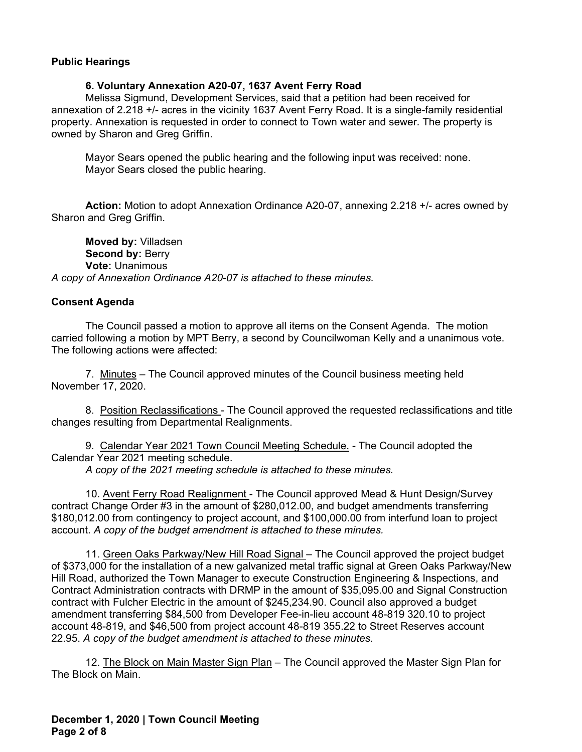#### **Public Hearings**

#### **6. Voluntary Annexation A20-07, 1637 Avent Ferry Road**

Melissa Sigmund, Development Services, said that a petition had been received for annexation of 2.218 +/- acres in the vicinity 1637 Avent Ferry Road. It is a single-family residential property. Annexation is requested in order to connect to Town water and sewer. The property is owned by Sharon and Greg Griffin.

Mayor Sears opened the public hearing and the following input was received: none. Mayor Sears closed the public hearing.

**Action:** Motion to adopt Annexation Ordinance A20-07, annexing 2.218 +/- acres owned by Sharon and Greg Griffin.

**Moved by:** Villadsen **Second by: Berry Vote:** Unanimous *A copy of Annexation Ordinance A20-07 is attached to these minutes.*

#### **Consent Agenda**

The Council passed a motion to approve all items on the Consent Agenda. The motion carried following a motion by MPT Berry, a second by Councilwoman Kelly and a unanimous vote. The following actions were affected:

7. Minutes – The Council approved minutes of the Council business meeting held November 17, 2020.

8. Position Reclassifications - The Council approved the requested reclassifications and title changes resulting from Departmental Realignments.

9. Calendar Year 2021 Town Council Meeting Schedule. - The Council adopted the Calendar Year 2021 meeting schedule.

*A copy of the 2021 meeting schedule is attached to these minutes.*

10. Avent Ferry Road Realignment - The Council approved Mead & Hunt Design/Survey contract Change Order #3 in the amount of \$280,012.00, and budget amendments transferring \$180,012.00 from contingency to project account, and \$100,000.00 from interfund loan to project account. *A copy of the budget amendment is attached to these minutes.*

11. Green Oaks Parkway/New Hill Road Signal – The Council approved the project budget of \$373,000 for the installation of a new galvanized metal traffic signal at Green Oaks Parkway/New Hill Road, authorized the Town Manager to execute Construction Engineering & Inspections, and Contract Administration contracts with DRMP in the amount of \$35,095.00 and Signal Construction contract with Fulcher Electric in the amount of \$245,234.90. Council also approved a budget amendment transferring \$84,500 from Developer Fee-in-lieu account 48-819 320.10 to project account 48-819, and \$46,500 from project account 48-819 355.22 to Street Reserves account 22.95. *A copy of the budget amendment is attached to these minutes.*

12. The Block on Main Master Sign Plan – The Council approved the Master Sign Plan for The Block on Main.

**December 1, 2020 | Town Council Meeting Page 2 of 8**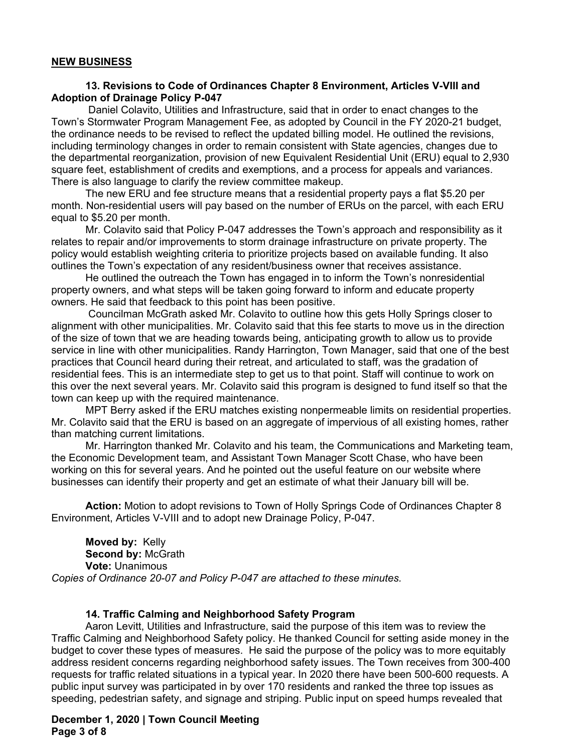#### **NEW BUSINESS**

## **13. Revisions to Code of Ordinances Chapter 8 Environment, Articles V-VIII and Adoption of Drainage Policy P-047**

 Daniel Colavito, Utilities and Infrastructure, said that in order to enact changes to the Town's Stormwater Program Management Fee, as adopted by Council in the FY 2020-21 budget, the ordinance needs to be revised to reflect the updated billing model. He outlined the revisions, including terminology changes in order to remain consistent with State agencies, changes due to the departmental reorganization, provision of new Equivalent Residential Unit (ERU) equal to 2,930 square feet, establishment of credits and exemptions, and a process for appeals and variances. There is also language to clarify the review committee makeup.

The new ERU and fee structure means that a residential property pays a flat \$5.20 per month. Non-residential users will pay based on the number of ERUs on the parcel, with each ERU equal to \$5.20 per month.

Mr. Colavito said that Policy P-047 addresses the Town's approach and responsibility as it relates to repair and/or improvements to storm drainage infrastructure on private property. The policy would establish weighting criteria to prioritize projects based on available funding. It also outlines the Town's expectation of any resident/business owner that receives assistance.

He outlined the outreach the Town has engaged in to inform the Town's nonresidential property owners, and what steps will be taken going forward to inform and educate property owners. He said that feedback to this point has been positive.

 Councilman McGrath asked Mr. Colavito to outline how this gets Holly Springs closer to alignment with other municipalities. Mr. Colavito said that this fee starts to move us in the direction of the size of town that we are heading towards being, anticipating growth to allow us to provide service in line with other municipalities. Randy Harrington, Town Manager, said that one of the best practices that Council heard during their retreat, and articulated to staff, was the gradation of residential fees. This is an intermediate step to get us to that point. Staff will continue to work on this over the next several years. Mr. Colavito said this program is designed to fund itself so that the town can keep up with the required maintenance.

MPT Berry asked if the ERU matches existing nonpermeable limits on residential properties. Mr. Colavito said that the ERU is based on an aggregate of impervious of all existing homes, rather than matching current limitations.

Mr. Harrington thanked Mr. Colavito and his team, the Communications and Marketing team, the Economic Development team, and Assistant Town Manager Scott Chase, who have been working on this for several years. And he pointed out the useful feature on our website where businesses can identify their property and get an estimate of what their January bill will be.

**Action:** Motion to adopt revisions to Town of Holly Springs Code of Ordinances Chapter 8 Environment, Articles V-VIII and to adopt new Drainage Policy, P-047.

**Moved by:** Kelly **Second by:** McGrath **Vote:** Unanimous *Copies of Ordinance 20-07 and Policy P-047 are attached to these minutes.*

#### **14. Traffic Calming and Neighborhood Safety Program**

Aaron Levitt, Utilities and Infrastructure, said the purpose of this item was to review the Traffic Calming and Neighborhood Safety policy. He thanked Council for setting aside money in the budget to cover these types of measures. He said the purpose of the policy was to more equitably address resident concerns regarding neighborhood safety issues. The Town receives from 300-400 requests for traffic related situations in a typical year. In 2020 there have been 500-600 requests. A public input survey was participated in by over 170 residents and ranked the three top issues as speeding, pedestrian safety, and signage and striping. Public input on speed humps revealed that

**December 1, 2020 | Town Council Meeting Page 3 of 8**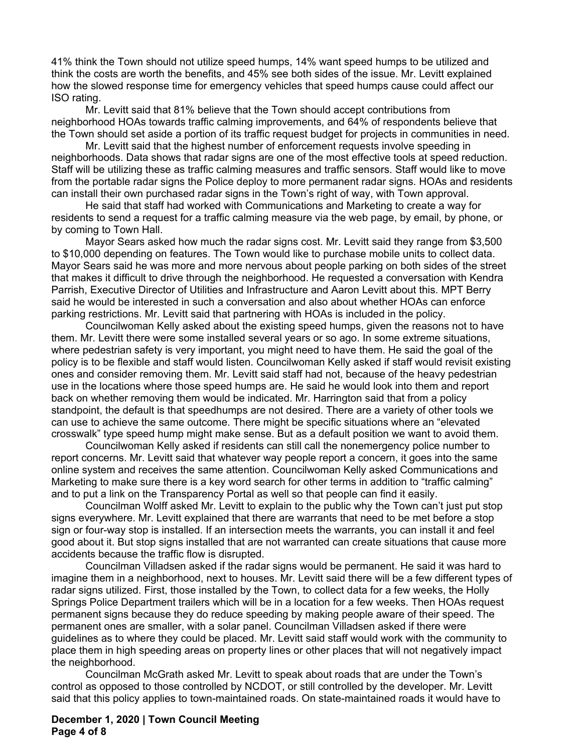41% think the Town should not utilize speed humps, 14% want speed humps to be utilized and think the costs are worth the benefits, and 45% see both sides of the issue. Mr. Levitt explained how the slowed response time for emergency vehicles that speed humps cause could affect our ISO rating.

Mr. Levitt said that 81% believe that the Town should accept contributions from neighborhood HOAs towards traffic calming improvements, and 64% of respondents believe that the Town should set aside a portion of its traffic request budget for projects in communities in need.

Mr. Levitt said that the highest number of enforcement requests involve speeding in neighborhoods. Data shows that radar signs are one of the most effective tools at speed reduction. Staff will be utilizing these as traffic calming measures and traffic sensors. Staff would like to move from the portable radar signs the Police deploy to more permanent radar signs. HOAs and residents can install their own purchased radar signs in the Town's right of way, with Town approval.

He said that staff had worked with Communications and Marketing to create a way for residents to send a request for a traffic calming measure via the web page, by email, by phone, or by coming to Town Hall.

Mayor Sears asked how much the radar signs cost. Mr. Levitt said they range from \$3,500 to \$10,000 depending on features. The Town would like to purchase mobile units to collect data. Mayor Sears said he was more and more nervous about people parking on both sides of the street that makes it difficult to drive through the neighborhood. He requested a conversation with Kendra Parrish, Executive Director of Utilities and Infrastructure and Aaron Levitt about this. MPT Berry said he would be interested in such a conversation and also about whether HOAs can enforce parking restrictions. Mr. Levitt said that partnering with HOAs is included in the policy.

Councilwoman Kelly asked about the existing speed humps, given the reasons not to have them. Mr. Levitt there were some installed several years or so ago. In some extreme situations, where pedestrian safety is very important, you might need to have them. He said the goal of the policy is to be flexible and staff would listen. Councilwoman Kelly asked if staff would revisit existing ones and consider removing them. Mr. Levitt said staff had not, because of the heavy pedestrian use in the locations where those speed humps are. He said he would look into them and report back on whether removing them would be indicated. Mr. Harrington said that from a policy standpoint, the default is that speedhumps are not desired. There are a variety of other tools we can use to achieve the same outcome. There might be specific situations where an "elevated crosswalk" type speed hump might make sense. But as a default position we want to avoid them.

Councilwoman Kelly asked if residents can still call the nonemergency police number to report concerns. Mr. Levitt said that whatever way people report a concern, it goes into the same online system and receives the same attention. Councilwoman Kelly asked Communications and Marketing to make sure there is a key word search for other terms in addition to "traffic calming" and to put a link on the Transparency Portal as well so that people can find it easily.

Councilman Wolff asked Mr. Levitt to explain to the public why the Town can't just put stop signs everywhere. Mr. Levitt explained that there are warrants that need to be met before a stop sign or four-way stop is installed. If an intersection meets the warrants, you can install it and feel good about it. But stop signs installed that are not warranted can create situations that cause more accidents because the traffic flow is disrupted.

Councilman Villadsen asked if the radar signs would be permanent. He said it was hard to imagine them in a neighborhood, next to houses. Mr. Levitt said there will be a few different types of radar signs utilized. First, those installed by the Town, to collect data for a few weeks, the Holly Springs Police Department trailers which will be in a location for a few weeks. Then HOAs request permanent signs because they do reduce speeding by making people aware of their speed. The permanent ones are smaller, with a solar panel. Councilman Villadsen asked if there were guidelines as to where they could be placed. Mr. Levitt said staff would work with the community to place them in high speeding areas on property lines or other places that will not negatively impact the neighborhood.

Councilman McGrath asked Mr. Levitt to speak about roads that are under the Town's control as opposed to those controlled by NCDOT, or still controlled by the developer. Mr. Levitt said that this policy applies to town-maintained roads. On state-maintained roads it would have to

## **December 1, 2020 | Town Council Meeting Page 4 of 8**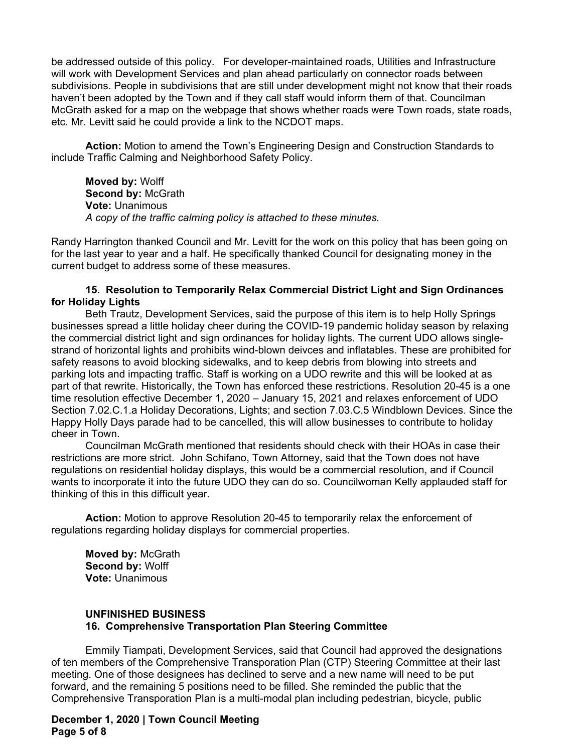be addressed outside of this policy. For developer-maintained roads, Utilities and Infrastructure will work with Development Services and plan ahead particularly on connector roads between subdivisions. People in subdivisions that are still under development might not know that their roads haven't been adopted by the Town and if they call staff would inform them of that. Councilman McGrath asked for a map on the webpage that shows whether roads were Town roads, state roads, etc. Mr. Levitt said he could provide a link to the NCDOT maps.

**Action:** Motion to amend the Town's Engineering Design and Construction Standards to include Traffic Calming and Neighborhood Safety Policy.

**Moved by:** Wolff **Second by:** McGrath **Vote:** Unanimous *A copy of the traffic calming policy is attached to these minutes.*

Randy Harrington thanked Council and Mr. Levitt for the work on this policy that has been going on for the last year to year and a half. He specifically thanked Council for designating money in the current budget to address some of these measures.

## **15. Resolution to Temporarily Relax Commercial District Light and Sign Ordinances for Holiday Lights**

Beth Trautz, Development Services, said the purpose of this item is to help Holly Springs businesses spread a little holiday cheer during the COVID-19 pandemic holiday season by relaxing the commercial district light and sign ordinances for holiday lights. The current UDO allows singlestrand of horizontal lights and prohibits wind-blown deivces and inflatables. These are prohibited for safety reasons to avoid blocking sidewalks, and to keep debris from blowing into streets and parking lots and impacting traffic. Staff is working on a UDO rewrite and this will be looked at as part of that rewrite. Historically, the Town has enforced these restrictions. Resolution 20-45 is a one time resolution effective December 1, 2020 – January 15, 2021 and relaxes enforcement of UDO Section 7.02.C.1.a Holiday Decorations, Lights; and section 7.03.C.5 Windblown Devices. Since the Happy Holly Days parade had to be cancelled, this will allow businesses to contribute to holiday cheer in Town.

Councilman McGrath mentioned that residents should check with their HOAs in case their restrictions are more strict. John Schifano, Town Attorney, said that the Town does not have regulations on residential holiday displays, this would be a commercial resolution, and if Council wants to incorporate it into the future UDO they can do so. Councilwoman Kelly applauded staff for thinking of this in this difficult year.

**Action:** Motion to approve Resolution 20-45 to temporarily relax the enforcement of regulations regarding holiday displays for commercial properties.

**Moved by:** McGrath **Second by:** Wolff **Vote:** Unanimous

## **UNFINISHED BUSINESS 16. Comprehensive Transportation Plan Steering Committee**

Emmily Tiampati, Development Services, said that Council had approved the designations of ten members of the Comprehensive Transporation Plan (CTP) Steering Committee at their last meeting. One of those designees has declined to serve and a new name will need to be put forward, and the remaining 5 positions need to be filled. She reminded the public that the Comprehensive Transporation Plan is a multi-modal plan including pedestrian, bicycle, public

**December 1, 2020 | Town Council Meeting Page 5 of 8**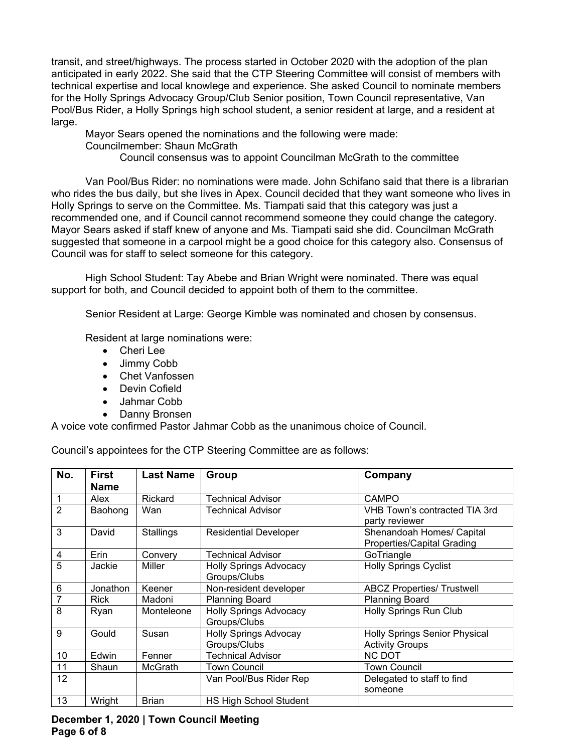transit, and street/highways. The process started in October 2020 with the adoption of the plan anticipated in early 2022. She said that the CTP Steering Committee will consist of members with technical expertise and local knowlege and experience. She asked Council to nominate members for the Holly Springs Advocacy Group/Club Senior position, Town Council representative, Van Pool/Bus Rider, a Holly Springs high school student, a senior resident at large, and a resident at large.

Mayor Sears opened the nominations and the following were made: Councilmember: Shaun McGrath

Council consensus was to appoint Councilman McGrath to the committee

Van Pool/Bus Rider: no nominations were made. John Schifano said that there is a librarian who rides the bus daily, but she lives in Apex. Council decided that they want someone who lives in Holly Springs to serve on the Committee. Ms. Tiampati said that this category was just a recommended one, and if Council cannot recommend someone they could change the category. Mayor Sears asked if staff knew of anyone and Ms. Tiampati said she did. Councilman McGrath suggested that someone in a carpool might be a good choice for this category also. Consensus of Council was for staff to select someone for this category.

High School Student: Tay Abebe and Brian Wright were nominated. There was equal support for both, and Council decided to appoint both of them to the committee.

Senior Resident at Large: George Kimble was nominated and chosen by consensus.

Resident at large nominations were:

- Cheri Lee
- Jimmy Cobb
- Chet Vanfossen
- Devin Cofield
- Jahmar Cobb
- Danny Bronsen

A voice vote confirmed Pastor Jahmar Cobb as the unanimous choice of Council.

Council's appointees for the CTP Steering Committee are as follows:

| No.            | First<br><b>Name</b> | <b>Last Name</b> | Group                                         | Company                                                        |
|----------------|----------------------|------------------|-----------------------------------------------|----------------------------------------------------------------|
| 1              | Alex                 | Rickard          | <b>Technical Advisor</b>                      | <b>CAMPO</b>                                                   |
| $\overline{2}$ | Baohong              | Wan              | <b>Technical Advisor</b>                      | VHB Town's contracted TIA 3rd<br>party reviewer                |
| 3              | David                | <b>Stallings</b> | <b>Residential Developer</b>                  | Shenandoah Homes/ Capital<br><b>Properties/Capital Grading</b> |
| 4              | Erin                 | Convery          | Technical Advisor                             | GoTriangle                                                     |
| 5              | Jackie               | Miller           | <b>Holly Springs Advocacy</b><br>Groups/Clubs | <b>Holly Springs Cyclist</b>                                   |
| 6              | Jonathon             | Keener           | Non-resident developer                        | <b>ABCZ Properties/ Trustwell</b>                              |
| 7              | <b>Rick</b>          | Madoni           | <b>Planning Board</b>                         | <b>Planning Board</b>                                          |
| 8              | Ryan                 | Monteleone       | <b>Holly Springs Advocacy</b><br>Groups/Clubs | <b>Holly Springs Run Club</b>                                  |
| 9              | Gould                | Susan            | <b>Holly Springs Advocay</b><br>Groups/Clubs  | <b>Holly Springs Senior Physical</b><br><b>Activity Groups</b> |
| 10             | Edwin                | Fenner           | <b>Technical Advisor</b>                      | <b>NC DOT</b>                                                  |
| 11             | Shaun                | <b>McGrath</b>   | <b>Town Council</b>                           | <b>Town Council</b>                                            |
| 12             |                      |                  | Van Pool/Bus Rider Rep                        | Delegated to staff to find<br>someone                          |
| 13             | Wright               | <b>Brian</b>     | <b>HS High School Student</b>                 |                                                                |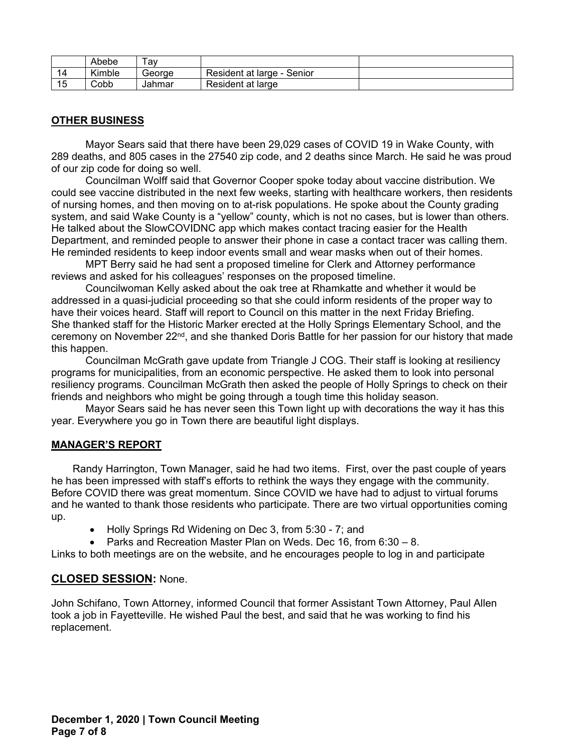|    | Abebe  | lav    |                            |  |
|----|--------|--------|----------------------------|--|
| 14 | Kimble | Georae | Resident at large - Senior |  |
| 15 | Cobb   | Jahmar | Resident at large          |  |

# **OTHER BUSINESS**

Mayor Sears said that there have been 29,029 cases of COVID 19 in Wake County, with 289 deaths, and 805 cases in the 27540 zip code, and 2 deaths since March. He said he was proud of our zip code for doing so well.

Councilman Wolff said that Governor Cooper spoke today about vaccine distribution. We could see vaccine distributed in the next few weeks, starting with healthcare workers, then residents of nursing homes, and then moving on to at-risk populations. He spoke about the County grading system, and said Wake County is a "yellow" county, which is not no cases, but is lower than others. He talked about the SlowCOVIDNC app which makes contact tracing easier for the Health Department, and reminded people to answer their phone in case a contact tracer was calling them. He reminded residents to keep indoor events small and wear masks when out of their homes.

MPT Berry said he had sent a proposed timeline for Clerk and Attorney performance reviews and asked for his colleagues' responses on the proposed timeline.

Councilwoman Kelly asked about the oak tree at Rhamkatte and whether it would be addressed in a quasi-judicial proceeding so that she could inform residents of the proper way to have their voices heard. Staff will report to Council on this matter in the next Friday Briefing. She thanked staff for the Historic Marker erected at the Holly Springs Elementary School, and the ceremony on November  $22<sup>nd</sup>$ , and she thanked Doris Battle for her passion for our history that made this happen.

Councilman McGrath gave update from Triangle J COG. Their staff is looking at resiliency programs for municipalities, from an economic perspective. He asked them to look into personal resiliency programs. Councilman McGrath then asked the people of Holly Springs to check on their friends and neighbors who might be going through a tough time this holiday season.

Mayor Sears said he has never seen this Town light up with decorations the way it has this year. Everywhere you go in Town there are beautiful light displays.

#### **MANAGER'S REPORT**

Randy Harrington, Town Manager, said he had two items. First, over the past couple of years he has been impressed with staff's efforts to rethink the ways they engage with the community. Before COVID there was great momentum. Since COVID we have had to adjust to virtual forums and he wanted to thank those residents who participate. There are two virtual opportunities coming up.

- Holly Springs Rd Widening on Dec 3, from 5:30 7; and
- Parks and Recreation Master Plan on Weds. Dec 16, from 6:30 8.

Links to both meetings are on the website, and he encourages people to log in and participate

## **CLOSED SESSION:** None.

John Schifano, Town Attorney, informed Council that former Assistant Town Attorney, Paul Allen took a job in Fayetteville. He wished Paul the best, and said that he was working to find his replacement.